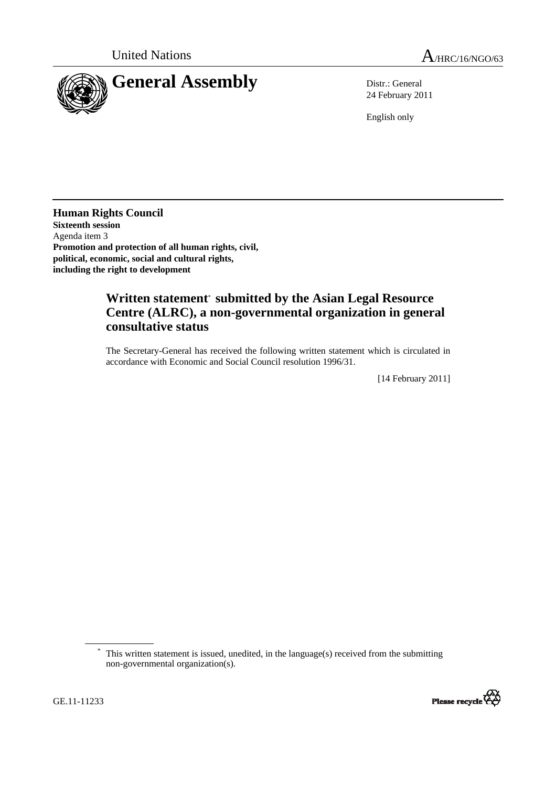

24 February 2011

English only

**Human Rights Council Sixteenth session**  Agenda item 3 **Promotion and protection of all human rights, civil, political, economic, social and cultural rights, including the right to development** 

## **Written statement**\* **submitted by the Asian Legal Resource Centre (ALRC), a non-governmental organization in general consultative status**

The Secretary-General has received the following written statement which is circulated in accordance with Economic and Social Council resolution 1996/31.

[14 February 2011]

This written statement is issued, unedited, in the language(s) received from the submitting non-governmental organization(s).

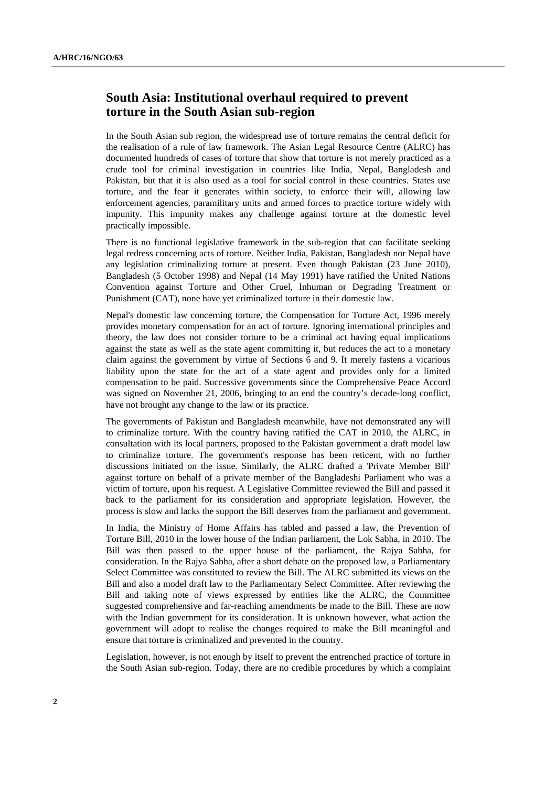## **South Asia: Institutional overhaul required to prevent torture in the South Asian sub-region**

In the South Asian sub region, the widespread use of torture remains the central deficit for the realisation of a rule of law framework. The Asian Legal Resource Centre (ALRC) has documented hundreds of cases of torture that show that torture is not merely practiced as a crude tool for criminal investigation in countries like India, Nepal, Bangladesh and Pakistan, but that it is also used as a tool for social control in these countries. States use torture, and the fear it generates within society, to enforce their will, allowing law enforcement agencies, paramilitary units and armed forces to practice torture widely with impunity. This impunity makes any challenge against torture at the domestic level practically impossible.

There is no functional legislative framework in the sub-region that can facilitate seeking legal redress concerning acts of torture. Neither India, Pakistan, Bangladesh nor Nepal have any legislation criminalizing torture at present. Even though Pakistan (23 June 2010), Bangladesh (5 October 1998) and Nepal (14 May 1991) have ratified the United Nations Convention against Torture and Other Cruel, Inhuman or Degrading Treatment or Punishment (CAT), none have yet criminalized torture in their domestic law.

Nepal's domestic law concerning torture, the Compensation for Torture Act, 1996 merely provides monetary compensation for an act of torture. Ignoring international principles and theory, the law does not consider torture to be a criminal act having equal implications against the state as well as the state agent committing it, but reduces the act to a monetary claim against the government by virtue of Sections 6 and 9. It merely fastens a vicarious liability upon the state for the act of a state agent and provides only for a limited compensation to be paid. Successive governments since the Comprehensive Peace Accord was signed on November 21, 2006, bringing to an end the country's decade-long conflict, have not brought any change to the law or its practice.

The governments of Pakistan and Bangladesh meanwhile, have not demonstrated any will to criminalize torture. With the country having ratified the CAT in 2010, the ALRC, in consultation with its local partners, proposed to the Pakistan government a draft model law to criminalize torture. The government's response has been reticent, with no further discussions initiated on the issue. Similarly, the ALRC drafted a 'Private Member Bill' against torture on behalf of a private member of the Bangladeshi Parliament who was a victim of torture, upon his request. A Legislative Committee reviewed the Bill and passed it back to the parliament for its consideration and appropriate legislation. However, the process is slow and lacks the support the Bill deserves from the parliament and government.

In India, the Ministry of Home Affairs has tabled and passed a law, the Prevention of Torture Bill, 2010 in the lower house of the Indian parliament, the Lok Sabha, in 2010. The Bill was then passed to the upper house of the parliament, the Rajya Sabha, for consideration. In the Rajya Sabha, after a short debate on the proposed law, a Parliamentary Select Committee was constituted to review the Bill. The ALRC submitted its views on the Bill and also a model draft law to the Parliamentary Select Committee. After reviewing the Bill and taking note of views expressed by entities like the ALRC, the Committee suggested comprehensive and far-reaching amendments be made to the Bill. These are now with the Indian government for its consideration. It is unknown however, what action the government will adopt to realise the changes required to make the Bill meaningful and ensure that torture is criminalized and prevented in the country.

Legislation, however, is not enough by itself to prevent the entrenched practice of torture in the South Asian sub-region. Today, there are no credible procedures by which a complaint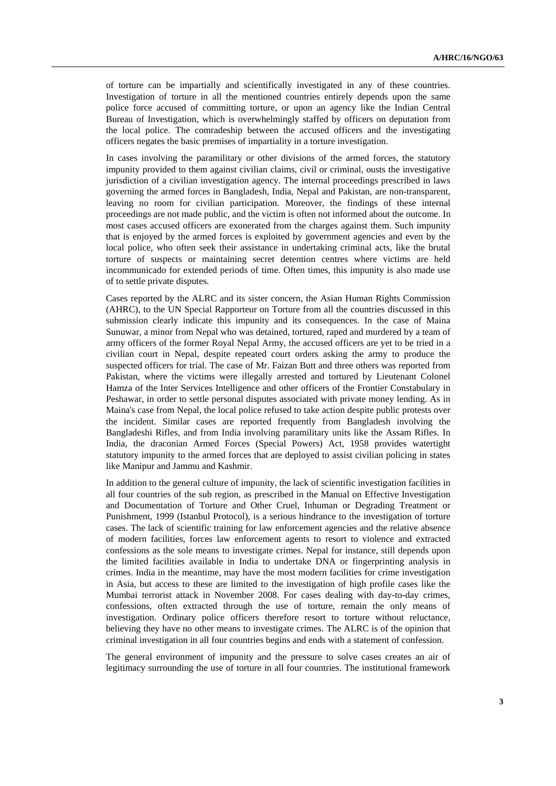of torture can be impartially and scientifically investigated in any of these countries. Investigation of torture in all the mentioned countries entirely depends upon the same police force accused of committing torture, or upon an agency like the Indian Central Bureau of Investigation, which is overwhelmingly staffed by officers on deputation from the local police. The comradeship between the accused officers and the investigating officers negates the basic premises of impartiality in a torture investigation.

In cases involving the paramilitary or other divisions of the armed forces, the statutory impunity provided to them against civilian claims, civil or criminal, ousts the investigative jurisdiction of a civilian investigation agency. The internal proceedings prescribed in laws governing the armed forces in Bangladesh, India, Nepal and Pakistan, are non-transparent, leaving no room for civilian participation. Moreover, the findings of these internal proceedings are not made public, and the victim is often not informed about the outcome. In most cases accused officers are exonerated from the charges against them. Such impunity that is enjoyed by the armed forces is exploited by government agencies and even by the local police, who often seek their assistance in undertaking criminal acts, like the brutal torture of suspects or maintaining secret detention centres where victims are held incommunicado for extended periods of time. Often times, this impunity is also made use of to settle private disputes.

Cases reported by the ALRC and its sister concern, the Asian Human Rights Commission (AHRC), to the UN Special Rapporteur on Torture from all the countries discussed in this submission clearly indicate this impunity and its consequences. In the case of Maina Sunuwar, a minor from Nepal who was detained, tortured, raped and murdered by a team of army officers of the former Royal Nepal Army, the accused officers are yet to be tried in a civilian court in Nepal, despite repeated court orders asking the army to produce the suspected officers for trial. The case of Mr. Faizan Butt and three others was reported from Pakistan, where the victims were illegally arrested and tortured by Lieutenant Colonel Hamza of the Inter Services Intelligence and other officers of the Frontier Constabulary in Peshawar, in order to settle personal disputes associated with private money lending. As in Maina's case from Nepal, the local police refused to take action despite public protests over the incident. Similar cases are reported frequently from Bangladesh involving the Bangladeshi Rifles, and from India involving paramilitary units like the Assam Rifles. In India, the draconian Armed Forces (Special Powers) Act, 1958 provides watertight statutory impunity to the armed forces that are deployed to assist civilian policing in states like Manipur and Jammu and Kashmir.

In addition to the general culture of impunity, the lack of scientific investigation facilities in all four countries of the sub region, as prescribed in the Manual on Effective Investigation and Documentation of Torture and Other Cruel, Inhuman or Degrading Treatment or Punishment, 1999 (Istanbul Protocol), is a serious hindrance to the investigation of torture cases. The lack of scientific training for law enforcement agencies and the relative absence of modern facilities, forces law enforcement agents to resort to violence and extracted confessions as the sole means to investigate crimes. Nepal for instance, still depends upon the limited facilities available in India to undertake DNA or fingerprinting analysis in crimes. India in the meantime, may have the most modern facilities for crime investigation in Asia, but access to these are limited to the investigation of high profile cases like the Mumbai terrorist attack in November 2008. For cases dealing with day-to-day crimes, confessions, often extracted through the use of torture, remain the only means of investigation. Ordinary police officers therefore resort to torture without reluctance, believing they have no other means to investigate crimes. The ALRC is of the opinion that criminal investigation in all four countries begins and ends with a statement of confession.

The general environment of impunity and the pressure to solve cases creates an air of legitimacy surrounding the use of torture in all four countries. The institutional framework